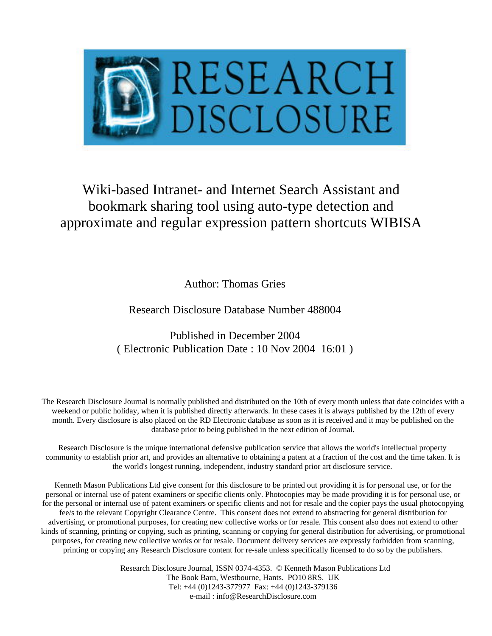

# Wiki-based Intranet- and Internet Search Assistant and bookmark sharing tool using auto-type detection and approximate and regular expression pattern shortcuts WIBISA

Author: Thomas Gries

Research Disclosure Database Number 488004

Published in December 2004 ( Electronic Publication Date : 10 Nov 2004 16:01 )

The Research Disclosure Journal is normally published and distributed on the 10th of every month unless that date coincides with a weekend or public holiday, when it is published directly afterwards. In these cases it is always published by the 12th of every month. Every disclosure is also placed on the RD Electronic database as soon as it is received and it may be published on the database prior to being published in the next edition of Journal.

Research Disclosure is the unique international defensive publication service that allows the world's intellectual property community to establish prior art, and provides an alternative to obtaining a patent at a fraction of the cost and the time taken. It is the world's longest running, independent, industry standard prior art disclosure service.

Kenneth Mason Publications Ltd give consent for this disclosure to be printed out providing it is for personal use, or for the personal or internal use of patent examiners or specific clients only. Photocopies may be made providing it is for personal use, or for the personal or internal use of patent examiners or specific clients and not for resale and the copier pays the usual photocopying fee/s to the relevant Copyright Clearance Centre. This consent does not extend to abstracting for general distribution for advertising, or promotional purposes, for creating new collective works or for resale. This consent also does not extend to other kinds of scanning, printing or copying, such as printing, scanning or copying for general distribution for advertising, or promotional purposes, for creating new collective works or for resale. Document delivery services are expressly forbidden from scanning, printing or copying any Research Disclosure content for re-sale unless specifically licensed to do so by the publishers.

> Research Disclosure Journal, ISSN 0374-4353. © Kenneth Mason Publications Ltd The Book Barn, Westbourne, Hants. PO10 8RS. UK Tel: +44 (0)1243-377977 Fax: +44 (0)1243-379136 e-mail : info@ResearchDisclosure.com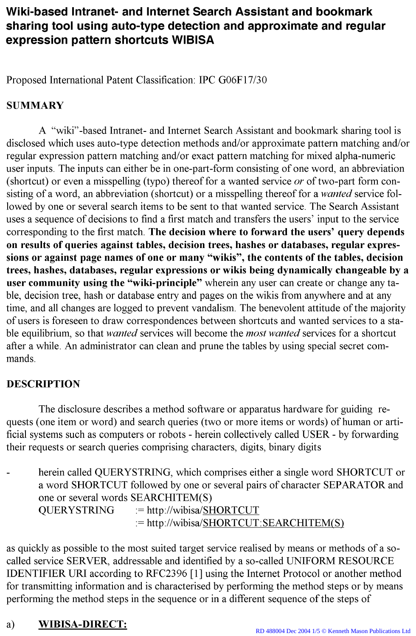# Wiki-based Intranet- and Internet Search Assistant and bookmark sharing tool using auto-type detection and approximate and regular expression pattern shortcuts WIBISA

Proposed International Patent Classification: IPC G06F17/30

### **SUMMARY**

A "wiki"-based Intranet- and Internet Search Assistant and bookmark sharing tool is disclosed which uses auto-type detection methods and/or approximate pattern matching and/or regular expression pattern matching and/or exact pattern matching for mixed alpha-numeric user inputs. The inputs can either be in one-part-form consisting of one word, an abbreviation (shortcut) or even a misspelling (typo) thereof for a wanted service or of two-part form consisting of a word, an abbreviation (shortcut) or a misspelling thereof for a wanted service followed by one or several search items to be sent to that wanted service. The Search Assistant uses a sequence of decisions to find a first match and transfers the users' input to the service corresponding to the first match. The decision where to forward the users' query depends on results of queries against tables, decision trees, hashes or databases, regular expressions or against page names of one or many "wikis", the contents of the tables, decision trees, hashes, databases, regular expressions or wikis being dynamically changeable by a user community using the "wiki-principle" wherein any user can create or change any table, decision tree, hash or database entry and pages on the wikis from anywhere and at any time, and all changes are logged to prevent vandalism. The benevolent attitude of the majority of users is foreseen to draw correspondences between shortcuts and wanted services to a stable equilibrium, so that wanted services will become the most wanted services for a shortcut after a while. An administrator can clean and prune the tables by using special secret commands.

### **DESCRIPTION**

The disclosure describes a method software or apparatus hardware for guiding requests (one item or word) and search queries (two or more items or words) of human or artificial systems such as computers or robots - herein collectively called USER - by forwarding their requests or search queries comprising characters, digits, binary digits

herein called QUERYSTRING, which comprises either a single word SHORTCUT or a word SHORTCUT followed by one or several pairs of character SEPARATOR and one or several words SEARCHITEM(S) := http://wibisa/SHORTCUT **QUERYSTRING**  $:=$  http://wibisa/SHORTCUT:SEARCHITEM(S)

as quickly as possible to the most suited target service realised by means or methods of a socalled service SERVER, addressable and identified by a so-called UNIFORM RESOURCE IDENTIFIER URI according to RFC2396 [1] using the Internet Protocol or another method for transmitting information and is characterised by performing the method steps or by means performing the method steps in the sequence or in a different sequence of the steps of

#### **WIBISA-DIRECT:** a)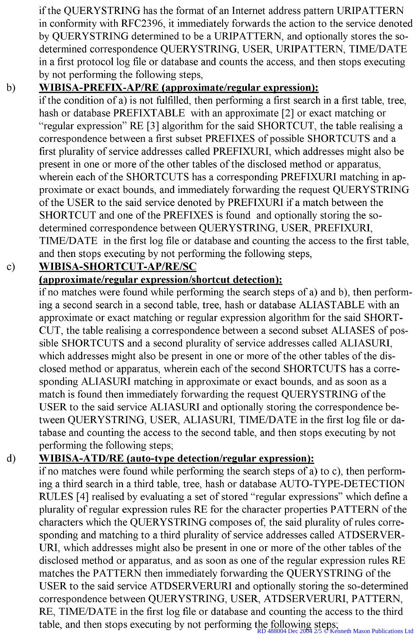if the QUERYSTRING has the format of an Internet address pattern URIPATTERN in conformity with RFC2396, it immediately forwards the action to the service denoted by QUERYSTRING determined to be a URIPATTERN, and optionally stores the sodetermined correspondence QUERYSTRING, USER, URIPATTERN, TIME/DATE in a first protocol log file or database and counts the access, and then stops executing by not performing the following steps,

#### **WIBISA-PREFIX-AP/RE** (approximate/regular expression):  $b)$

if the condition of a) is not fulfilled, then performing a first search in a first table, tree, hash or database PREFIXTABLE with an approximate [2] or exact matching or "regular expression" RE [3] algorithm for the said SHORTCUT, the table realising a correspondence between a first subset PREFIXES of possible SHORTCUTS and a first plurality of service addresses called PREFIXURI, which addresses might also be present in one or more of the other tables of the disclosed method or apparatus, wherein each of the SHORTCUTS has a corresponding PREFIXURI matching in approximate or exact bounds, and immediately forwarding the request QUERYSTRING of the USER to the said service denoted by PREFIXURI if a match between the SHORTCUT and one of the PREFIXES is found and optionally storing the sodetermined correspondence between QUERYSTRING, USER, PREFIXURI, TIME/DATE in the first log file or database and counting the access to the first table, and then stops executing by not performing the following steps,

#### WIBISA-SHORTCUT-AP/RE/SC  $\mathbf{c})$

### (approximate/regular expression/shortcut detection):

if no matches were found while performing the search steps of a) and b), then performing a second search in a second table, tree, hash or database ALIASTABLE with an approximate or exact matching or regular expression algorithm for the said SHORT-CUT, the table realising a correspondence between a second subset ALIASES of possible SHORTCUTS and a second plurality of service addresses called ALIASURI, which addresses might also be present in one or more of the other tables of the disclosed method or apparatus, wherein each of the second SHORTCUTS has a corresponding ALIASURI matching in approximate or exact bounds, and as soon as a match is found then immediately forwarding the request QUERYSTRING of the USER to the said service ALIASURI and optionally storing the correspondence between QUERYSTRING, USER, ALIASURI, TIME/DATE in the first log file or database and counting the access to the second table, and then stops executing by not performing the following steps;

#### WIBISA-ATD/RE (auto-type detection/regular expression):  $\mathbf{d}$

if no matches were found while performing the search steps of a) to c), then performing a third search in a third table, tree, hash or database AUTO-TYPE-DETECTION RULES [4] realised by evaluating a set of stored "regular expressions" which define a plurality of regular expression rules RE for the character properties PATTERN of the characters which the QUERYSTRING composes of, the said plurality of rules corresponding and matching to a third plurality of service addresses called ATDSERVER-URI, which addresses might also be present in one or more of the other tables of the disclosed method or apparatus, and as soon as one of the regular expression rules RE matches the PATTERN then immediately forwarding the QUERYSTRING of the USER to the said service ATDSERVERURI and optionally storing the so-determined correspondence between QUERYSTRING, USER, ATDSERVERURI, PATTERN, RE, TIME/DATE in the first log file or database and counting the access to the third table, and then stops executing by not performing the following steps;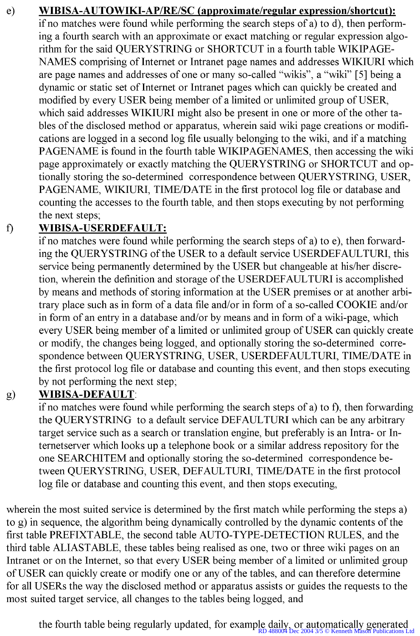WIBISA-AUTOWIKI-AP/RE/SC (approximate/regular expression/shortcut): e) if no matches were found while performing the search steps of a) to d), then performing a fourth search with an approximate or exact matching or regular expression algorithm for the said QUERYSTRING or SHORTCUT in a fourth table WIKIPAGE-NAMES comprising of Internet or Intranet page names and addresses WIKIURI which are page names and addresses of one or many so-called "wikis", a "wiki" [5] being a dynamic or static set of Internet or Intranet pages which can quickly be created and modified by every USER being member of a limited or unlimited group of USER, which said addresses WIKIURI might also be present in one or more of the other tables of the disclosed method or apparatus, wherein said wiki page creations or modifications are logged in a second log file usually belonging to the wiki, and if a matching PAGENAME is found in the fourth table WIKIPAGENAMES, then accessing the wiki page approximately or exactly matching the QUERYSTRING or SHORTCUT and optionally storing the so-determined correspondence between QUERYSTRING, USER, PAGENAME, WIKIURI, TIME/DATE in the first protocol log file or database and counting the accesses to the fourth table, and then stops executing by not performing the next steps;

#### **WIBISA-USERDEFAULT:**  $f$

if no matches were found while performing the search steps of a) to e), then forwarding the QUERYSTRING of the USER to a default service USERDEFAULTURI, this service being permanently determined by the USER but changeable at his/her discretion, wherein the definition and storage of the USERDEFAULTURI is accomplished by means and methods of storing information at the USER premises or at another arbitrary place such as in form of a data file and/or in form of a so-called COOKIE and/or in form of an entry in a database and/or by means and in form of a wiki-page, which every USER being member of a limited or unlimited group of USER can quickly create or modify, the changes being logged, and optionally storing the so-determined correspondence between QUERYSTRING, USER, USERDEFAULTURI, TIME/DATE in the first protocol log file or database and counting this event, and then stops executing by not performing the next step;

#### **WIBISA-DEFAULT:**  $g)$

if no matches were found while performing the search steps of a) to f), then forwarding the QUERYSTRING to a default service DEFAULTURI which can be any arbitrary target service such as a search or translation engine, but preferably is an Intra- or Internetserver which looks up a telephone book or a similar address repository for the one SEARCHITEM and optionally storing the so-determined correspondence between QUERYSTRING, USER, DEFAULTURI, TIME/DATE in the first protocol log file or database and counting this event, and then stops executing,

wherein the most suited service is determined by the first match while performing the steps a) to g) in sequence, the algorithm being dynamically controlled by the dynamic contents of the first table PREFIXTABLE, the second table AUTO-TYPE-DETECTION RULES, and the third table ALIASTABLE, these tables being realised as one, two or three wiki pages on an Intranet or on the Internet, so that every USER being member of a limited or unlimited group of USER can quickly create or modify one or any of the tables, and can therefore determine for all USERs the way the disclosed method or apparatus assists or guides the requests to the most suited target service, all changes to the tables being logged, and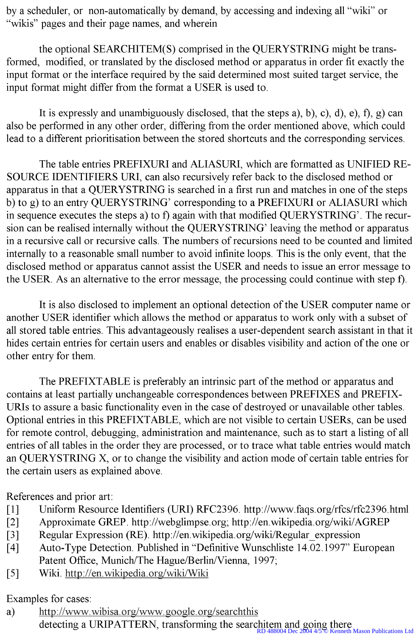by a scheduler, or non-automatically by demand, by accessing and indexing all "wiki" or "wikis" pages and their page names, and wherein

the optional SEARCHITEM(S) comprised in the QUERYSTRING might be transformed, modified, or translated by the disclosed method or apparatus in order fit exactly the input format or the interface required by the said determined most suited target service, the input format might differ from the format a USER is used to.

It is expressly and unambiguously disclosed, that the steps a), b), c), d), e), f), g) can also be performed in any other order, differing from the order mentioned above, which could lead to a different prioritisation between the stored shortcuts and the corresponding services.

The table entries PREFIXURI and ALIASURI, which are formatted as UNIFIED RE-SOURCE IDENTIFIERS URI, can also recursively refer back to the disclosed method or apparatus in that a QUERYSTRING is searched in a first run and matches in one of the steps b) to g) to an entry QUERYSTRING' corresponding to a PREFIXURI or ALIASURI which in sequence executes the steps a) to f) again with that modified QUERYSTRING'. The recursion can be realised internally without the QUERYSTRING' leaving the method or apparatus in a recursive call or recursive calls. The numbers of recursions need to be counted and limited internally to a reasonable small number to avoid infinite loops. This is the only event, that the disclosed method or apparatus cannot assist the USER and needs to issue an error message to the USER. As an alternative to the error message, the processing could continue with step f).

It is also disclosed to implement an optional detection of the USER computer name or another USER identifier which allows the method or apparatus to work only with a subset of all stored table entries. This advantageously realises a user-dependent search assistant in that it hides certain entries for certain users and enables or disables visibility and action of the one or other entry for them.

The PREFIXTABLE is preferably an intrinsic part of the method or apparatus and contains at least partially unchangeable correspondences between PREFIXES and PREFIX-URIs to assure a basic functionality even in the case of destroyed or unavailable other tables. Optional entries in this PREFIXTABLE, which are not visible to certain USERs, can be used for remote control, debugging, administration and maintenance, such as to start a listing of all entries of all tables in the order they are processed, or to trace what table entries would match an QUERYSTRING X, or to change the visibility and action mode of certain table entries for the certain users as explained above.

References and prior art:

- $[1]$ Uniform Resource Identifiers (URI) RFC2396. http://www.faqs.org/rfcs/rfc2396.html
- Approximate GREP. http://webglimpse.org; http://en.wikipedia.org/wiki/AGREP  $\lceil 2 \rceil$
- Regular Expression (RE). http://en.wikipedia.org/wiki/Regular expression  $\lceil 3 \rceil$
- Auto-Type Detection. Published in "Definitive Wunschliste 14.02.1997" European  $[4]$ Patent Office, Munich/The Hague/Berlin/Vienna, 1997;
- $[5]$ Wiki. http://en.wikipedia.org/wiki/Wiki

Examples for cases:

http://www.wibisa.org/www.google.org/searchthis a) detecting a URIPATTERN, transforming the searchitem and going there **Kenneth Mason Publications Ltd**